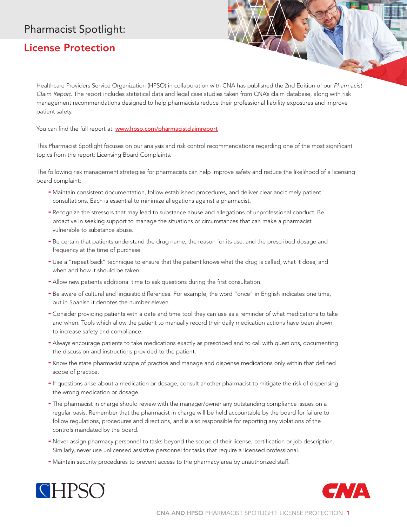# Pharmacist Spotlight:

## License Protection

Healthcare Providers Service Organization (HPSO) in collaboration with CNA has published the 2nd Edition of our *Pharmacist Claim Report*. The report includes statistical data and legal case studies taken from CNA's claim database, along with risk management recommendations designed to help pharmacists reduce their professional liability exposures and improve patient safety.

You can find the full report at: www.hpso.com/pharmacistclaimreport

This Pharmacist Spotlight focuses on our analysis and risk control recommendations regarding one of the most significant topics from the report: Licensing Board Complaints.

The following risk management strategies for pharmacists can help improve safety and reduce the likelihood of a licensing board complaint:

- Maintain consistent documentation, follow established procedures, and deliver clear and timely patient consultations. Each is essential to minimize allegations against a pharmacist.
- Recognize the stressors that may lead to substance abuse and allegations of unprofessional conduct. Be proactive in seeking support to manage the situations or circumstances that can make a pharmacist vulnerable to substance abuse.
- Be certain that patients understand the drug name, the reason for its use, and the prescribed dosage and frequency at the time of purchase.
- Use a "repeat back" technique to ensure that the patient knows what the drug is called, what it does, and when and how it should be taken.
- Allow new patients additional time to ask questions during the first consultation.
- Be aware of cultural and linguistic differences. For example, the word "once" in English indicates one time, but in Spanish it denotes the number eleven.
- Consider providing patients with a date and time tool they can use as a reminder of what medications to take and when. Tools which allow the patient to manually record their daily medication actions have been shown to increase safety and compliance.
- Always encourage patients to take medications exactly as prescribed and to call with questions, documenting the discussion and instructions provided to the patient.
- Know the state pharmacist scope of practice and manage and dispense medications only within that defined scope of practice.
- If questions arise about a medication or dosage, consult another pharmacist to mitigate the risk of dispensing the wrong medication or dosage.
- The pharmacist in charge should review with the manager/owner any outstanding compliance issues on a regular basis. Remember that the pharmacist in charge will be held accountable by the board for failure to follow regulations, procedures and directions, and is also responsible for reporting any violations of the controls mandated by the board.
- Never assign pharmacy personnel to tasks beyond the scope of their license, certification or job description. Similarly, never use unlicensed assistive personnel for tasks that require a licensed professional.
- Maintain security procedures to prevent access to the pharmacy area by unauthorized staff.



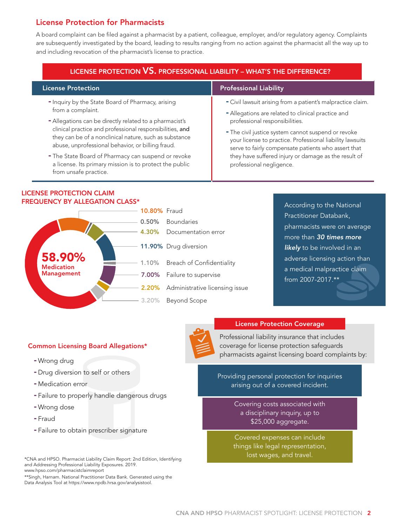## License Protection for Pharmacists

A board complaint can be filed against a pharmacist by a patient, colleague, employer, and/or regulatory agency. Complaints are subsequently investigated by the board, leading to results ranging from no action against the pharmacist all the way up to and including revocation of the pharmacist's license to practice.

| <b>LICENSE PROTECTION VS. PROFESSIONAL LIABILITY - WHAT'S THE DIFFERENCE?</b>                                                                                                                                                      |                                                                                                                                                                                                                                                                                                                                                                                                                    |
|------------------------------------------------------------------------------------------------------------------------------------------------------------------------------------------------------------------------------------|--------------------------------------------------------------------------------------------------------------------------------------------------------------------------------------------------------------------------------------------------------------------------------------------------------------------------------------------------------------------------------------------------------------------|
| <b>License Protection</b>                                                                                                                                                                                                          | <b>Professional Liability</b>                                                                                                                                                                                                                                                                                                                                                                                      |
| - Inquiry by the State Board of Pharmacy, arising<br>from a complaint.                                                                                                                                                             | - Civil lawsuit arising from a patient's malpractice claim.<br>- Allegations are related to clinical practice and<br>professional responsibilities.<br>- The civil justice system cannot suspend or revoke<br>your license to practice. Professional liability lawsuits<br>serve to fairly compensate patients who assert that<br>they have suffered injury or damage as the result of<br>professional negligence. |
| - Allegations can be directly related to a pharmacist's<br>clinical practice and professional responsibilities, and<br>they can be of a nonclinical nature, such as substance<br>abuse, unprofessional behavior, or billing fraud. |                                                                                                                                                                                                                                                                                                                                                                                                                    |
| - The State Board of Pharmacy can suspend or revoke<br>a license. Its primary mission is to protect the public<br>from unsafe practice.                                                                                            |                                                                                                                                                                                                                                                                                                                                                                                                                    |

### LICENSE PROTECTION CLAIM **FREQUENCY BY ALLEGATION CLASS\*** According to the National



Practitioner Databank, pharmacists were on average more than *30 times more*  **likely** to be involved in an adverse licensing action than a medical malpractice claim from 2007-2017.\*\*

### Common Licensing Board Allegations\*

- Wrong drug
- Drug diversion to self or others
- Medication error
- Failure to properly handle dangerous drugs
- Wrong dose
- Fraud
- Failure to obtain prescriber signature

\*\*Singh, Harnam. National Practitioner Data Bank. Generated using the Data Analysis Tool at https://www.npdb.hrsa.gov/analysistool.



#### License Protection Coverage

Professional liability insurance that includes coverage for license protection safeguards pharmacists against licensing board complaints by:

Providing personal protection for inquiries arising out of a covered incident.

> Covering costs associated with a disciplinary inquiry, up to \$25,000 aggregate.

Covered expenses can include things like legal representation, lost wages, and travel.

<sup>\*</sup>CNA and HPSO. Pharmacist Liability Claim Report: 2nd Edition, Identifying and Addressing Professional Liability Exposures. 2019. www.hpso.com/pharmacistclaimreport